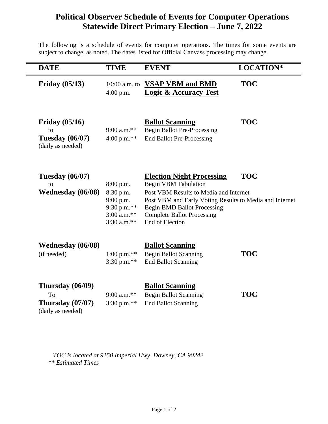## **Political Observer Schedule of Events for Computer Operations Statewide Direct Primary Election – June 7, 2022**

The following is a schedule of events for computer operations. The times for some events are subject to change, as noted. The dates listed for Official Canvass processing may change.

| <b>DATE</b>                                                           | <b>TIME</b>                                                                          | <b>EVENT</b>                                                                                                                                                                                                                                                              | LOCATION*  |
|-----------------------------------------------------------------------|--------------------------------------------------------------------------------------|---------------------------------------------------------------------------------------------------------------------------------------------------------------------------------------------------------------------------------------------------------------------------|------------|
| <b>Friday (05/13)</b>                                                 | $10:00$ a.m. to<br>$4:00$ p.m.                                                       | <b>VSAP VBM and BMD</b><br><b>Logic &amp; Accuracy Test</b>                                                                                                                                                                                                               | <b>TOC</b> |
| Friday $(05/16)$<br>to<br><b>Tuesday</b> (06/07)<br>(daily as needed) | $9:00$ a.m.**<br>4:00 p.m. $**$                                                      | <b>Ballot Scanning</b><br><b>Begin Ballot Pre-Processing</b><br><b>End Ballot Pre-Processing</b>                                                                                                                                                                          | <b>TOC</b> |
| <b>Tuesday</b> (06/07)<br>to<br><b>Wednesday</b> (06/08)              | 8:00 p.m.<br>8:30 p.m.<br>9:00 p.m.<br>9:30 p.m.**<br>$3:00$ a.m.**<br>$3:30$ a.m.** | <b>Election Night Processing</b><br><b>Begin VBM Tabulation</b><br>Post VBM Results to Media and Internet<br>Post VBM and Early Voting Results to Media and Internet<br><b>Begin BMD Ballot Processing</b><br><b>Complete Ballot Processing</b><br><b>End of Election</b> | <b>TOC</b> |
| <b>Wednesday</b> (06/08)<br>(if needed)                               | $1:00$ p.m.**<br>3:30 p.m.**                                                         | <b>Ballot Scanning</b><br><b>Begin Ballot Scanning</b><br><b>End Ballot Scanning</b>                                                                                                                                                                                      | <b>TOC</b> |
| Thursday (06/09)<br>To<br>Thursday $(07/07)$<br>(daily as needed)     | $9:00$ a.m.**<br>3:30 p.m.**                                                         | <b>Ballot Scanning</b><br><b>Begin Ballot Scanning</b><br><b>End Ballot Scanning</b>                                                                                                                                                                                      | <b>TOC</b> |

 *TOC is located at 9150 Imperial Hwy, Downey, CA 90242 \*\* Estimated Times*